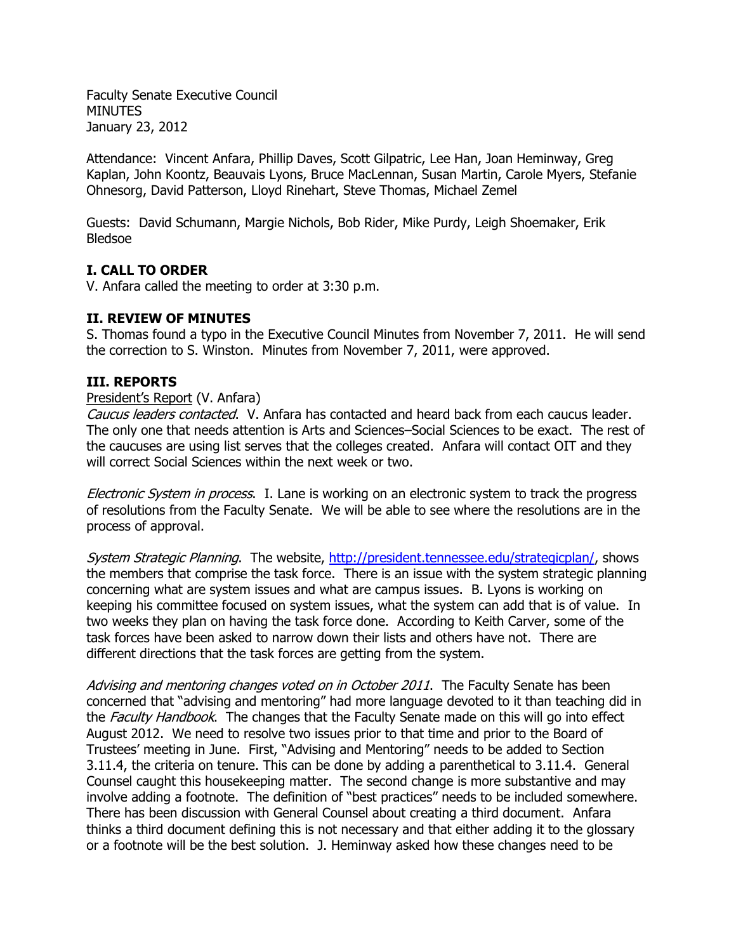Faculty Senate Executive Council MINUTES January 23, 2012

Attendance: Vincent Anfara, Phillip Daves, Scott Gilpatric, Lee Han, Joan Heminway, Greg Kaplan, John Koontz, Beauvais Lyons, Bruce MacLennan, Susan Martin, Carole Myers, Stefanie Ohnesorg, David Patterson, Lloyd Rinehart, Steve Thomas, Michael Zemel

Guests: David Schumann, Margie Nichols, Bob Rider, Mike Purdy, Leigh Shoemaker, Erik Bledsoe

## **I. CALL TO ORDER**

V. Anfara called the meeting to order at 3:30 p.m.

### **II. REVIEW OF MINUTES**

S. Thomas found a typo in the Executive Council Minutes from November 7, 2011. He will send the correction to S. Winston. Minutes from November 7, 2011, were approved.

#### **III. REPORTS**

#### President's Report (V. Anfara)

Caucus leaders contacted. V. Anfara has contacted and heard back from each caucus leader. The only one that needs attention is Arts and Sciences–Social Sciences to be exact. The rest of the caucuses are using list serves that the colleges created. Anfara will contact OIT and they will correct Social Sciences within the next week or two.

Electronic System in process. I. Lane is working on an electronic system to track the progress of resolutions from the Faculty Senate. We will be able to see where the resolutions are in the process of approval.

System Strategic Planning. The website, [http://president.tennessee.edu/strategicplan/,](http://president.tennessee.edu/strategicplan/) shows the members that comprise the task force. There is an issue with the system strategic planning concerning what are system issues and what are campus issues. B. Lyons is working on keeping his committee focused on system issues, what the system can add that is of value. In two weeks they plan on having the task force done. According to Keith Carver, some of the task forces have been asked to narrow down their lists and others have not. There are different directions that the task forces are getting from the system.

Advising and mentoring changes voted on in October 2011. The Faculty Senate has been concerned that "advising and mentoring" had more language devoted to it than teaching did in the Faculty Handbook. The changes that the Faculty Senate made on this will go into effect August 2012. We need to resolve two issues prior to that time and prior to the Board of Trustees' meeting in June. First, "Advising and Mentoring" needs to be added to Section 3.11.4, the criteria on tenure. This can be done by adding a parenthetical to 3.11.4. General Counsel caught this housekeeping matter. The second change is more substantive and may involve adding a footnote. The definition of "best practices" needs to be included somewhere. There has been discussion with General Counsel about creating a third document. Anfara thinks a third document defining this is not necessary and that either adding it to the glossary or a footnote will be the best solution. J. Heminway asked how these changes need to be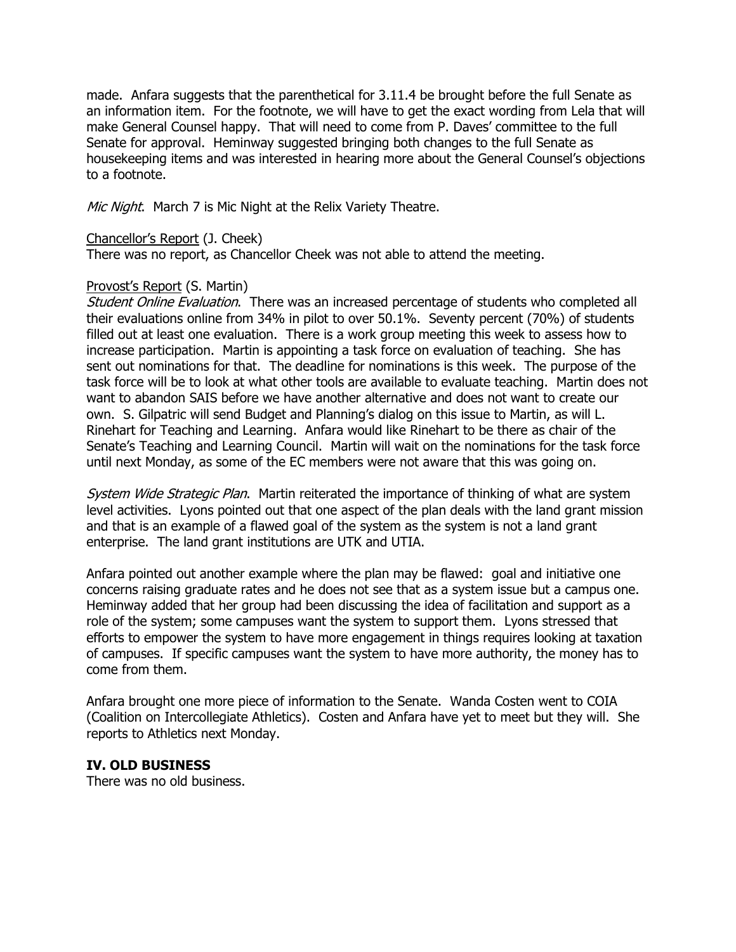made. Anfara suggests that the parenthetical for 3.11.4 be brought before the full Senate as an information item. For the footnote, we will have to get the exact wording from Lela that will make General Counsel happy. That will need to come from P. Daves' committee to the full Senate for approval. Heminway suggested bringing both changes to the full Senate as housekeeping items and was interested in hearing more about the General Counsel's objections to a footnote.

Mic Night. March 7 is Mic Night at the Relix Variety Theatre.

### Chancellor's Report (J. Cheek)

There was no report, as Chancellor Cheek was not able to attend the meeting.

#### Provost's Report (S. Martin)

Student Online Evaluation. There was an increased percentage of students who completed all their evaluations online from 34% in pilot to over 50.1%. Seventy percent (70%) of students filled out at least one evaluation. There is a work group meeting this week to assess how to increase participation. Martin is appointing a task force on evaluation of teaching. She has sent out nominations for that. The deadline for nominations is this week. The purpose of the task force will be to look at what other tools are available to evaluate teaching. Martin does not want to abandon SAIS before we have another alternative and does not want to create our own. S. Gilpatric will send Budget and Planning's dialog on this issue to Martin, as will L. Rinehart for Teaching and Learning. Anfara would like Rinehart to be there as chair of the Senate's Teaching and Learning Council. Martin will wait on the nominations for the task force until next Monday, as some of the EC members were not aware that this was going on.

System Wide Strategic Plan. Martin reiterated the importance of thinking of what are system level activities. Lyons pointed out that one aspect of the plan deals with the land grant mission and that is an example of a flawed goal of the system as the system is not a land grant enterprise. The land grant institutions are UTK and UTIA.

Anfara pointed out another example where the plan may be flawed: goal and initiative one concerns raising graduate rates and he does not see that as a system issue but a campus one. Heminway added that her group had been discussing the idea of facilitation and support as a role of the system; some campuses want the system to support them. Lyons stressed that efforts to empower the system to have more engagement in things requires looking at taxation of campuses. If specific campuses want the system to have more authority, the money has to come from them.

Anfara brought one more piece of information to the Senate. Wanda Costen went to COIA (Coalition on Intercollegiate Athletics). Costen and Anfara have yet to meet but they will. She reports to Athletics next Monday.

### **IV. OLD BUSINESS**

There was no old business.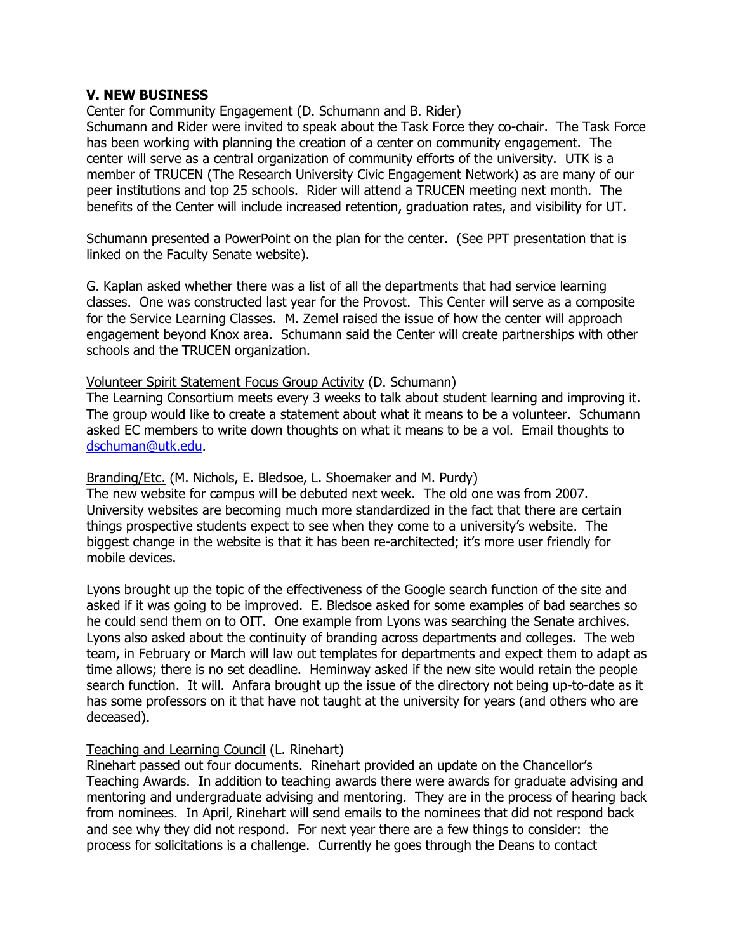### **V. NEW BUSINESS**

Center for Community Engagement (D. Schumann and B. Rider)

Schumann and Rider were invited to speak about the Task Force they co-chair. The Task Force has been working with planning the creation of a center on community engagement. The center will serve as a central organization of community efforts of the university. UTK is a member of TRUCEN (The Research University Civic Engagement Network) as are many of our peer institutions and top 25 schools. Rider will attend a TRUCEN meeting next month. The benefits of the Center will include increased retention, graduation rates, and visibility for UT.

Schumann presented a PowerPoint on the plan for the center. (See PPT presentation that is linked on the Faculty Senate website).

G. Kaplan asked whether there was a list of all the departments that had service learning classes. One was constructed last year for the Provost. This Center will serve as a composite for the Service Learning Classes. M. Zemel raised the issue of how the center will approach engagement beyond Knox area. Schumann said the Center will create partnerships with other schools and the TRUCEN organization.

#### Volunteer Spirit Statement Focus Group Activity (D. Schumann)

The Learning Consortium meets every 3 weeks to talk about student learning and improving it. The group would like to create a statement about what it means to be a volunteer. Schumann asked EC members to write down thoughts on what it means to be a vol. Email thoughts to [dschuman@utk.edu.](mailto:dschuman@utk.edu)

#### Branding/Etc. (M. Nichols, E. Bledsoe, L. Shoemaker and M. Purdy)

The new website for campus will be debuted next week. The old one was from 2007. University websites are becoming much more standardized in the fact that there are certain things prospective students expect to see when they come to a university's website. The biggest change in the website is that it has been re-architected; it's more user friendly for mobile devices.

Lyons brought up the topic of the effectiveness of the Google search function of the site and asked if it was going to be improved. E. Bledsoe asked for some examples of bad searches so he could send them on to OIT. One example from Lyons was searching the Senate archives. Lyons also asked about the continuity of branding across departments and colleges. The web team, in February or March will law out templates for departments and expect them to adapt as time allows; there is no set deadline. Heminway asked if the new site would retain the people search function. It will. Anfara brought up the issue of the directory not being up-to-date as it has some professors on it that have not taught at the university for years (and others who are deceased).

#### Teaching and Learning Council (L. Rinehart)

Rinehart passed out four documents. Rinehart provided an update on the Chancellor's Teaching Awards. In addition to teaching awards there were awards for graduate advising and mentoring and undergraduate advising and mentoring. They are in the process of hearing back from nominees. In April, Rinehart will send emails to the nominees that did not respond back and see why they did not respond. For next year there are a few things to consider: the process for solicitations is a challenge. Currently he goes through the Deans to contact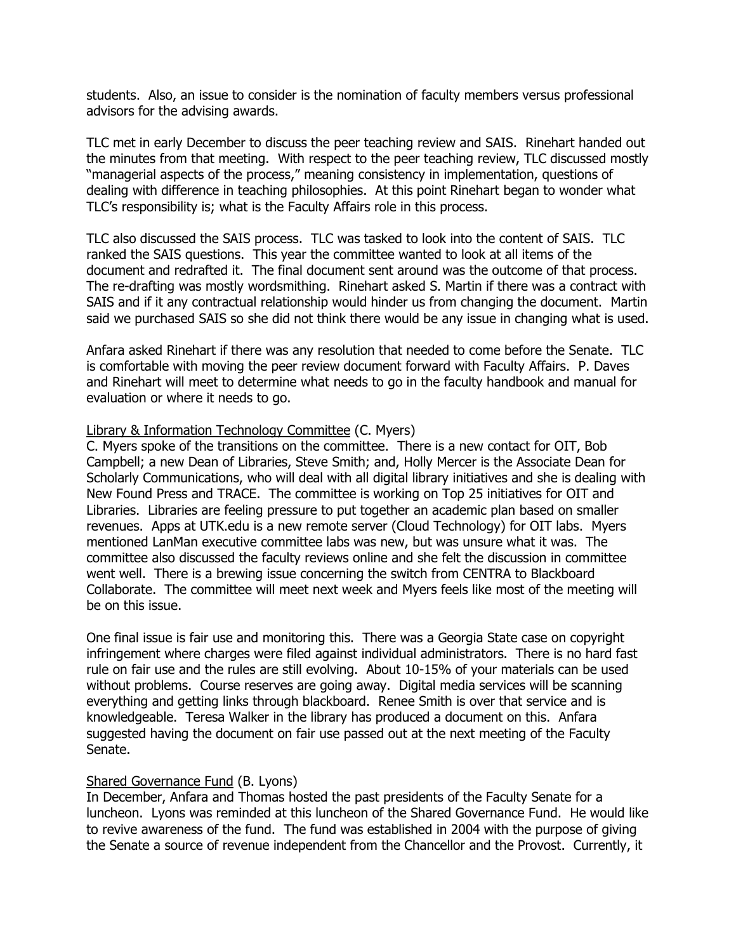students. Also, an issue to consider is the nomination of faculty members versus professional advisors for the advising awards.

TLC met in early December to discuss the peer teaching review and SAIS. Rinehart handed out the minutes from that meeting. With respect to the peer teaching review, TLC discussed mostly "managerial aspects of the process," meaning consistency in implementation, questions of dealing with difference in teaching philosophies. At this point Rinehart began to wonder what TLC's responsibility is; what is the Faculty Affairs role in this process.

TLC also discussed the SAIS process. TLC was tasked to look into the content of SAIS. TLC ranked the SAIS questions. This year the committee wanted to look at all items of the document and redrafted it. The final document sent around was the outcome of that process. The re-drafting was mostly wordsmithing. Rinehart asked S. Martin if there was a contract with SAIS and if it any contractual relationship would hinder us from changing the document. Martin said we purchased SAIS so she did not think there would be any issue in changing what is used.

Anfara asked Rinehart if there was any resolution that needed to come before the Senate. TLC is comfortable with moving the peer review document forward with Faculty Affairs. P. Daves and Rinehart will meet to determine what needs to go in the faculty handbook and manual for evaluation or where it needs to go.

### Library & Information Technology Committee (C. Myers)

C. Myers spoke of the transitions on the committee. There is a new contact for OIT, Bob Campbell; a new Dean of Libraries, Steve Smith; and, Holly Mercer is the Associate Dean for Scholarly Communications, who will deal with all digital library initiatives and she is dealing with New Found Press and TRACE. The committee is working on Top 25 initiatives for OIT and Libraries. Libraries are feeling pressure to put together an academic plan based on smaller revenues. Apps at UTK.edu is a new remote server (Cloud Technology) for OIT labs. Myers mentioned LanMan executive committee labs was new, but was unsure what it was. The committee also discussed the faculty reviews online and she felt the discussion in committee went well. There is a brewing issue concerning the switch from CENTRA to Blackboard Collaborate. The committee will meet next week and Myers feels like most of the meeting will be on this issue.

One final issue is fair use and monitoring this. There was a Georgia State case on copyright infringement where charges were filed against individual administrators. There is no hard fast rule on fair use and the rules are still evolving. About 10-15% of your materials can be used without problems. Course reserves are going away. Digital media services will be scanning everything and getting links through blackboard. Renee Smith is over that service and is knowledgeable. Teresa Walker in the library has produced a document on this. Anfara suggested having the document on fair use passed out at the next meeting of the Faculty Senate.

#### Shared Governance Fund (B. Lyons)

In December, Anfara and Thomas hosted the past presidents of the Faculty Senate for a luncheon. Lyons was reminded at this luncheon of the Shared Governance Fund. He would like to revive awareness of the fund. The fund was established in 2004 with the purpose of giving the Senate a source of revenue independent from the Chancellor and the Provost. Currently, it